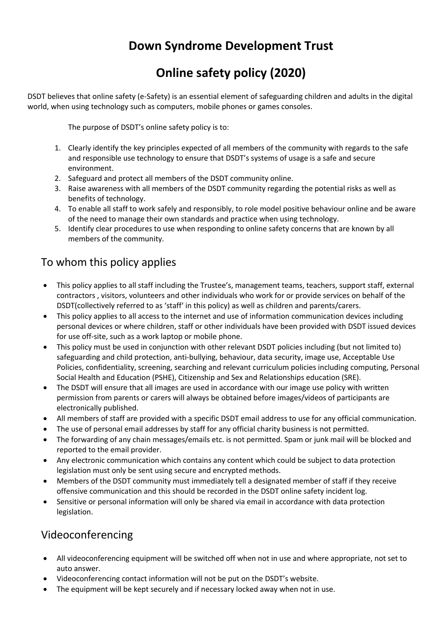## **Down Syndrome Development Trust**

# **Online safety policy (2020)**

DSDT believes that online safety (e-Safety) is an essential element of safeguarding children and adults in the digital world, when using technology such as computers, mobile phones or games consoles.

The purpose of DSDT's online safety policy is to:

- 1. Clearly identify the key principles expected of all members of the community with regards to the safe and responsible use technology to ensure that DSDT's systems of usage is a safe and secure environment.
- 2. Safeguard and protect all members of the DSDT community online.
- 3. Raise awareness with all members of the DSDT community regarding the potential risks as well as benefits of technology.
- 4. To enable all staff to work safely and responsibly, to role model positive behaviour online and be aware of the need to manage their own standards and practice when using technology.
- 5. Identify clear procedures to use when responding to online safety concerns that are known by all members of the community.

#### To whom this policy applies

- This policy applies to all staff including the Trustee's, management teams, teachers, support staff, external contractors , visitors, volunteers and other individuals who work for or provide services on behalf of the DSDT(collectively referred to as 'staff' in this policy) as well as children and parents/carers.
- This policy applies to all access to the internet and use of information communication devices including personal devices or where children, staff or other individuals have been provided with DSDT issued devices for use off-site, such as a work laptop or mobile phone.
- This policy must be used in conjunction with other relevant DSDT policies including (but not limited to) safeguarding and child protection, anti-bullying, behaviour, data security, image use, Acceptable Use Policies, confidentiality, screening, searching and relevant curriculum policies including computing, Personal Social Health and Education (PSHE), Citizenship and Sex and Relationships education (SRE).
- The DSDT will ensure that all images are used in accordance with our image use policy with written permission from parents or carers will always be obtained before images/videos of participants are electronically published.
- All members of staff are provided with a specific DSDT email address to use for any official communication.
- The use of personal email addresses by staff for any official charity business is not permitted.
- The forwarding of any chain messages/emails etc. is not permitted. Spam or junk mail will be blocked and reported to the email provider.
- Any electronic communication which contains any content which could be subject to data protection legislation must only be sent using secure and encrypted methods.
- Members of the DSDT community must immediately tell a designated member of staff if they receive offensive communication and this should be recorded in the DSDT online safety incident log.
- Sensitive or personal information will only be shared via email in accordance with data protection legislation.

#### Videoconferencing

- All videoconferencing equipment will be switched off when not in use and where appropriate, not set to auto answer.
- Videoconferencing contact information will not be put on the DSDT's website.
- The equipment will be kept securely and if necessary locked away when not in use.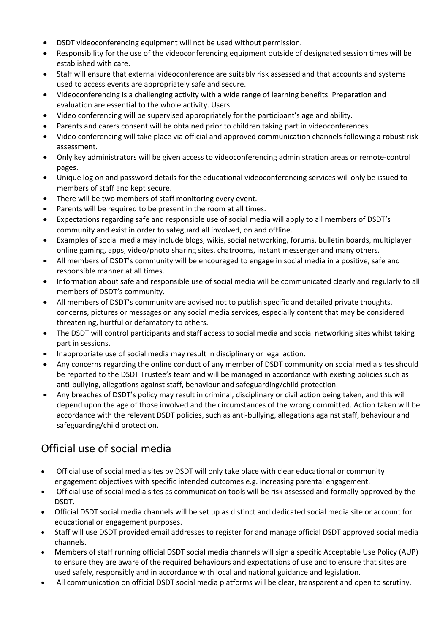- DSDT videoconferencing equipment will not be used without permission.
- Responsibility for the use of the videoconferencing equipment outside of designated session times will be established with care.
- Staff will ensure that external videoconference are suitably risk assessed and that accounts and systems used to access events are appropriately safe and secure.
- Videoconferencing is a challenging activity with a wide range of learning benefits. Preparation and evaluation are essential to the whole activity. Users
- Video conferencing will be supervised appropriately for the participant's age and ability.
- Parents and carers consent will be obtained prior to children taking part in videoconferences.
- Video conferencing will take place via official and approved communication channels following a robust risk assessment.
- Only key administrators will be given access to videoconferencing administration areas or remote-control pages.
- Unique log on and password details for the educational videoconferencing services will only be issued to members of staff and kept secure.
- There will be two members of staff monitoring every event.
- Parents will be required to be present in the room at all times.
- Expectations regarding safe and responsible use of social media will apply to all members of DSDT's community and exist in order to safeguard all involved, on and offline.
- Examples of social media may include blogs, wikis, social networking, forums, bulletin boards, multiplayer online gaming, apps, video/photo sharing sites, chatrooms, instant messenger and many others.
- All members of DSDT's community will be encouraged to engage in social media in a positive, safe and responsible manner at all times.
- Information about safe and responsible use of social media will be communicated clearly and regularly to all members of DSDT's community.
- All members of DSDT's community are advised not to publish specific and detailed private thoughts, concerns, pictures or messages on any social media services, especially content that may be considered threatening, hurtful or defamatory to others.
- The DSDT will control participants and staff access to social media and social networking sites whilst taking part in sessions.
- Inappropriate use of social media may result in disciplinary or legal action.
- Any concerns regarding the online conduct of any member of DSDT community on social media sites should be reported to the DSDT Trustee's team and will be managed in accordance with existing policies such as anti-bullying, allegations against staff, behaviour and safeguarding/child protection.
- Any breaches of DSDT's policy may result in criminal, disciplinary or civil action being taken, and this will depend upon the age of those involved and the circumstances of the wrong committed. Action taken will be accordance with the relevant DSDT policies, such as anti-bullying, allegations against staff, behaviour and safeguarding/child protection.

### Official use of social media

- Official use of social media sites by DSDT will only take place with clear educational or community engagement objectives with specific intended outcomes e.g. increasing parental engagement.
- Official use of social media sites as communication tools will be risk assessed and formally approved by the DSDT.
- Official DSDT social media channels will be set up as distinct and dedicated social media site or account for educational or engagement purposes.
- Staff will use DSDT provided email addresses to register for and manage official DSDT approved social media channels.
- Members of staff running official DSDT social media channels will sign a specific Acceptable Use Policy (AUP) to ensure they are aware of the required behaviours and expectations of use and to ensure that sites are used safely, responsibly and in accordance with local and national guidance and legislation.
- All communication on official DSDT social media platforms will be clear, transparent and open to scrutiny.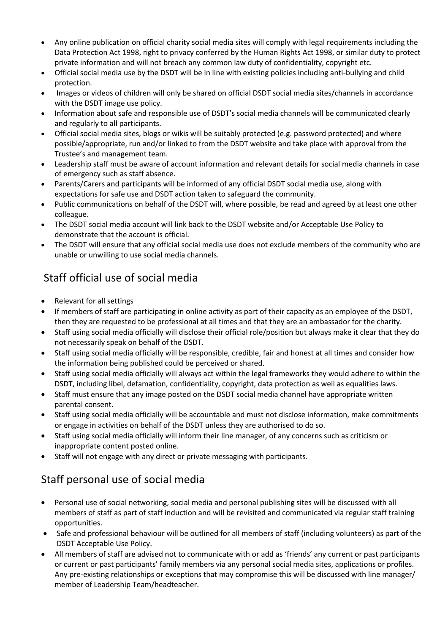- Any online publication on official charity social media sites will comply with legal requirements including the Data Protection Act 1998, right to privacy conferred by the Human Rights Act 1998, or similar duty to protect private information and will not breach any common law duty of confidentiality, copyright etc.
- Official social media use by the DSDT will be in line with existing policies including anti-bullying and child protection.
- Images or videos of children will only be shared on official DSDT social media sites/channels in accordance with the DSDT image use policy.
- Information about safe and responsible use of DSDT's social media channels will be communicated clearly and regularly to all participants.
- Official social media sites, blogs or wikis will be suitably protected (e.g. password protected) and where possible/appropriate, run and/or linked to from the DSDT website and take place with approval from the Trustee's and management team.
- Leadership staff must be aware of account information and relevant details for social media channels in case of emergency such as staff absence.
- Parents/Carers and participants will be informed of any official DSDT social media use, along with expectations for safe use and DSDT action taken to safeguard the community.
- Public communications on behalf of the DSDT will, where possible, be read and agreed by at least one other colleague.
- The DSDT social media account will link back to the DSDT website and/or Acceptable Use Policy to demonstrate that the account is official.
- The DSDT will ensure that any official social media use does not exclude members of the community who are unable or unwilling to use social media channels.

### Staff official use of social media

- Relevant for all settings
- If members of staff are participating in online activity as part of their capacity as an employee of the DSDT, then they are requested to be professional at all times and that they are an ambassador for the charity.
- Staff using social media officially will disclose their official role/position but always make it clear that they do not necessarily speak on behalf of the DSDT.
- Staff using social media officially will be responsible, credible, fair and honest at all times and consider how the information being published could be perceived or shared.
- Staff using social media officially will always act within the legal frameworks they would adhere to within the DSDT, including libel, defamation, confidentiality, copyright, data protection as well as equalities laws.
- Staff must ensure that any image posted on the DSDT social media channel have appropriate written parental consent.
- Staff using social media officially will be accountable and must not disclose information, make commitments or engage in activities on behalf of the DSDT unless they are authorised to do so.
- Staff using social media officially will inform their line manager, of any concerns such as criticism or inappropriate content posted online.
- Staff will not engage with any direct or private messaging with participants.

### Staff personal use of social media

- Personal use of social networking, social media and personal publishing sites will be discussed with all members of staff as part of staff induction and will be revisited and communicated via regular staff training opportunities.
- Safe and professional behaviour will be outlined for all members of staff (including volunteers) as part of the DSDT Acceptable Use Policy.
- All members of staff are advised not to communicate with or add as 'friends' any current or past participants or current or past participants' family members via any personal social media sites, applications or profiles. Any pre-existing relationships or exceptions that may compromise this will be discussed with line manager/ member of Leadership Team/headteacher.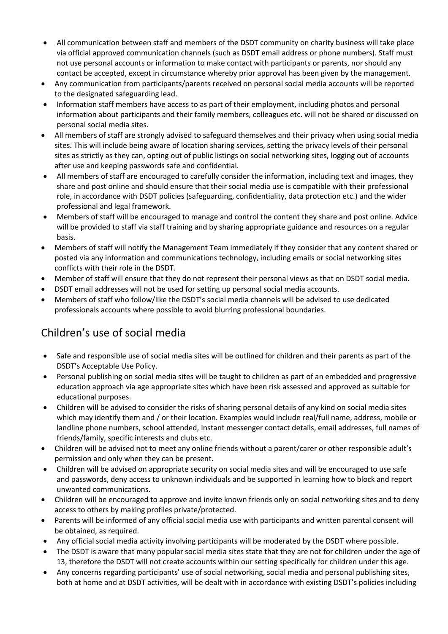- All communication between staff and members of the DSDT community on charity business will take place via official approved communication channels (such as DSDT email address or phone numbers). Staff must not use personal accounts or information to make contact with participants or parents, nor should any contact be accepted, except in circumstance whereby prior approval has been given by the management.
- Any communication from participants/parents received on personal social media accounts will be reported to the designated safeguarding lead.
- Information staff members have access to as part of their employment, including photos and personal information about participants and their family members, colleagues etc. will not be shared or discussed on personal social media sites.
- All members of staff are strongly advised to safeguard themselves and their privacy when using social media sites. This will include being aware of location sharing services, setting the privacy levels of their personal sites as strictly as they can, opting out of public listings on social networking sites, logging out of accounts after use and keeping passwords safe and confidential.
- All members of staff are encouraged to carefully consider the information, including text and images, they share and post online and should ensure that their social media use is compatible with their professional role, in accordance with DSDT policies (safeguarding, confidentiality, data protection etc.) and the wider professional and legal framework.
- Members of staff will be encouraged to manage and control the content they share and post online. Advice will be provided to staff via staff training and by sharing appropriate guidance and resources on a regular basis.
- Members of staff will notify the Management Team immediately if they consider that any content shared or posted via any information and communications technology, including emails or social networking sites conflicts with their role in the DSDT.
- Member of staff will ensure that they do not represent their personal views as that on DSDT social media.
- DSDT email addresses will not be used for setting up personal social media accounts.
- Members of staff who follow/like the DSDT's social media channels will be advised to use dedicated professionals accounts where possible to avoid blurring professional boundaries.

### Children's use of social media

- Safe and responsible use of social media sites will be outlined for children and their parents as part of the DSDT's Acceptable Use Policy.
- Personal publishing on social media sites will be taught to children as part of an embedded and progressive education approach via age appropriate sites which have been risk assessed and approved as suitable for educational purposes.
- Children will be advised to consider the risks of sharing personal details of any kind on social media sites which may identify them and / or their location. Examples would include real/full name, address, mobile or landline phone numbers, school attended, Instant messenger contact details, email addresses, full names of friends/family, specific interests and clubs etc.
- Children will be advised not to meet any online friends without a parent/carer or other responsible adult's permission and only when they can be present.
- Children will be advised on appropriate security on social media sites and will be encouraged to use safe and passwords, deny access to unknown individuals and be supported in learning how to block and report unwanted communications.
- Children will be encouraged to approve and invite known friends only on social networking sites and to deny access to others by making profiles private/protected.
- Parents will be informed of any official social media use with participants and written parental consent will be obtained, as required.
- Any official social media activity involving participants will be moderated by the DSDT where possible.
- The DSDT is aware that many popular social media sites state that they are not for children under the age of 13, therefore the DSDT will not create accounts within our setting specifically for children under this age.
- Any concerns regarding participants' use of social networking, social media and personal publishing sites, both at home and at DSDT activities, will be dealt with in accordance with existing DSDT's policies including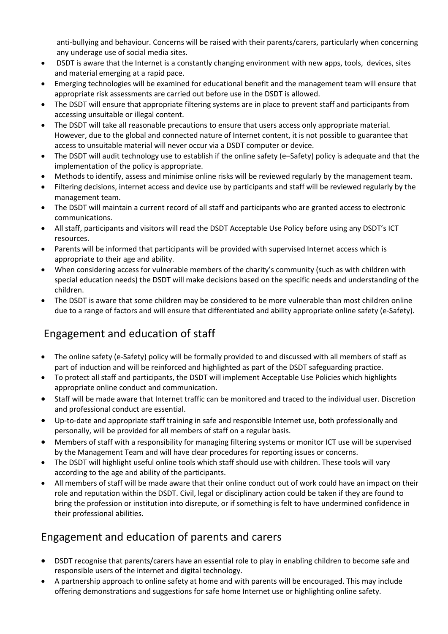anti-bullying and behaviour. Concerns will be raised with their parents/carers, particularly when concerning any underage use of social media sites.

- DSDT is aware that the Internet is a constantly changing environment with new apps, tools, devices, sites and material emerging at a rapid pace.
- Emerging technologies will be examined for educational benefit and the management team will ensure that appropriate risk assessments are carried out before use in the DSDT is allowed.
- The DSDT will ensure that appropriate filtering systems are in place to prevent staff and participants from accessing unsuitable or illegal content.
- The DSDT will take all reasonable precautions to ensure that users access only appropriate material. However, due to the global and connected nature of Internet content, it is not possible to guarantee that access to unsuitable material will never occur via a DSDT computer or device.
- The DSDT will audit technology use to establish if the online safety (e–Safety) policy is adequate and that the implementation of the policy is appropriate.
- Methods to identify, assess and minimise online risks will be reviewed regularly by the management team.
- Filtering decisions, internet access and device use by participants and staff will be reviewed regularly by the management team.
- The DSDT will maintain a current record of all staff and participants who are granted access to electronic communications.
- All staff, participants and visitors will read the DSDT Acceptable Use Policy before using any DSDT's ICT resources.
- Parents will be informed that participants will be provided with supervised Internet access which is appropriate to their age and ability.
- When considering access for vulnerable members of the charity's community (such as with children with special education needs) the DSDT will make decisions based on the specific needs and understanding of the children.
- The DSDT is aware that some children may be considered to be more vulnerable than most children online due to a range of factors and will ensure that differentiated and ability appropriate online safety (e-Safety).

### Engagement and education of staff

- The online safety (e-Safety) policy will be formally provided to and discussed with all members of staff as part of induction and will be reinforced and highlighted as part of the DSDT safeguarding practice.
- To protect all staff and participants, the DSDT will implement Acceptable Use Policies which highlights appropriate online conduct and communication.
- Staff will be made aware that Internet traffic can be monitored and traced to the individual user. Discretion and professional conduct are essential.
- Up-to-date and appropriate staff training in safe and responsible Internet use, both professionally and personally, will be provided for all members of staff on a regular basis.
- Members of staff with a responsibility for managing filtering systems or monitor ICT use will be supervised by the Management Team and will have clear procedures for reporting issues or concerns.
- The DSDT will highlight useful online tools which staff should use with children. These tools will vary according to the age and ability of the participants.
- All members of staff will be made aware that their online conduct out of work could have an impact on their role and reputation within the DSDT. Civil, legal or disciplinary action could be taken if they are found to bring the profession or institution into disrepute, or if something is felt to have undermined confidence in their professional abilities.

#### Engagement and education of parents and carers

- DSDT recognise that parents/carers have an essential role to play in enabling children to become safe and responsible users of the internet and digital technology.
- A partnership approach to online safety at home and with parents will be encouraged. This may include offering demonstrations and suggestions for safe home Internet use or highlighting online safety.